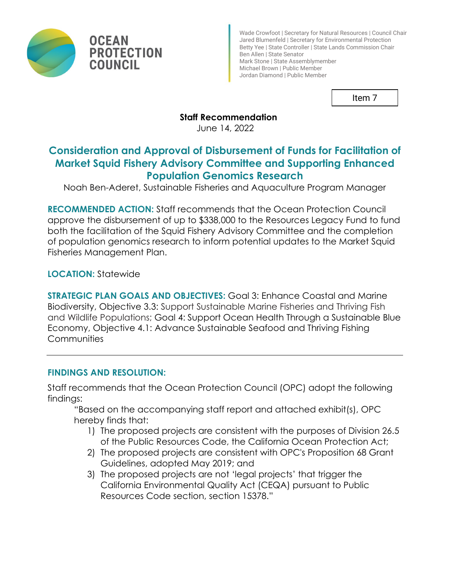

Wade Crowfoot | Secretary for Natural Resources | Council Chair Jared Blumenfeld | Secretary for Environmental Protection Betty Yee | State Controller | State Lands Commission Chair Ben Allen | State Senator Mark Stone | State Assemblymember Michael Brown | Public Member Jordan Diamond | Public Member

Item 7

#### **Staff Recommendation**

June 14, 2022

# **Consideration and Approval of Disbursement of Funds for Facilitation of Market Squid Fishery Advisory Committee and Supporting Enhanced Population Genomics Research**

Noah Ben-Aderet, Sustainable Fisheries and Aquaculture Program Manager

**RECOMMENDED ACTION:** Staff recommends that the Ocean Protection Council approve the disbursement of up to \$338,000 to the Resources Legacy Fund to fund both the facilitation of the Squid Fishery Advisory Committee and the completion of population genomics research to inform potential updates to the Market Squid Fisheries Management Plan.

**LOCATION:** Statewide

**STRATEGIC PLAN GOALS AND OBJECTIVES:** Goal 3: Enhance Coastal and Marine Biodiversity, Objective 3.3: Support Sustainable Marine Fisheries and Thriving Fish and Wildlife Populations; Goal 4: Support Ocean Health Through a Sustainable Blue Economy, Objective 4.1: Advance Sustainable Seafood and Thriving Fishing **Communities** 

### **FINDINGS AND RESOLUTION:**

Staff recommends that the Ocean Protection Council (OPC) adopt the following findings:

"Based on the accompanying staff report and attached exhibit(s), OPC hereby finds that:

- 1) The proposed projects are consistent with the purposes of Division 26.5 of the Public Resources Code, the California Ocean Protection Act;
- 2) The proposed projects are consistent with OPC's Proposition 68 Grant Guidelines, adopted May 2019; and
- 3) The proposed projects are not 'legal projects' that trigger the California Environmental Quality Act (CEQA) pursuant to Public Resources Code section, section 15378."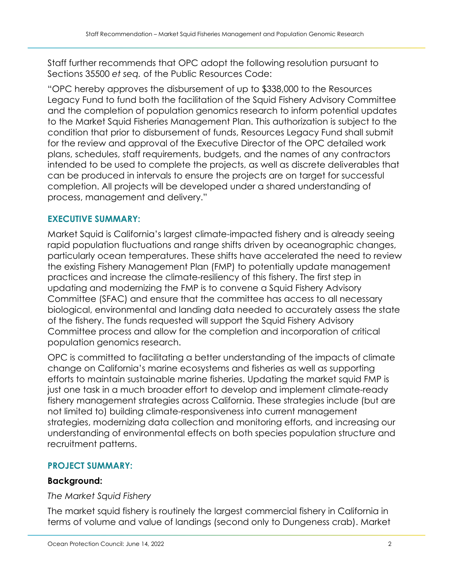Staff further recommends that OPC adopt the following resolution pursuant to Sections 35500 *et seq.* of the Public Resources Code:

"OPC hereby approves the disbursement of up to \$338,000 to the Resources Legacy Fund to fund both the facilitation of the Squid Fishery Advisory Committee and the completion of population genomics research to inform potential updates to the Market Squid Fisheries Management Plan. This authorization is subject to the condition that prior to disbursement of funds, Resources Legacy Fund shall submit for the review and approval of the Executive Director of the OPC detailed work plans, schedules, staff requirements, budgets, and the names of any contractors intended to be used to complete the projects, as well as discrete deliverables that can be produced in intervals to ensure the projects are on target for successful completion. All projects will be developed under a shared understanding of process, management and delivery."

### **EXECUTIVE SUMMARY:**

Market Squid is California's largest climate-impacted fishery and is already seeing rapid population fluctuations and range shifts driven by oceanographic changes, particularly ocean temperatures. These shifts have accelerated the need to review the existing Fishery Management Plan (FMP) to potentially update management practices and increase the climate-resiliency of this fishery. The first step in updating and modernizing the FMP is to convene a Squid Fishery Advisory Committee (SFAC) and ensure that the committee has access to all necessary biological, environmental and landing data needed to accurately assess the state of the fishery. The funds requested will support the Squid Fishery Advisory Committee process and allow for the completion and incorporation of critical population genomics research.

OPC is committed to facilitating a better understanding of the impacts of climate change on California's marine ecosystems and fisheries as well as supporting efforts to maintain sustainable marine fisheries. Updating the market squid FMP is just one task in a much broader effort to develop and implement climate-ready fishery management strategies across California. These strategies include (but are not limited to) building climate-responsiveness into current management strategies, modernizing data collection and monitoring efforts, and increasing our understanding of environmental effects on both species population structure and recruitment patterns.

#### **PROJECT SUMMARY:**

#### **Background:**

#### *The Market Squid Fishery*

The market squid fishery is routinely the largest commercial fishery in California in terms of volume and value of landings (second only to Dungeness crab). Market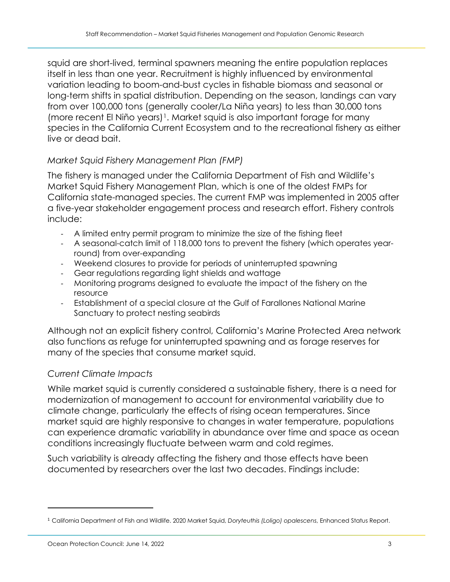squid are short-lived, terminal spawners meaning the entire population replaces itself in less than one year. Recruitment is highly influenced by environmental variation leading to boom-and-bust cycles in fishable biomass and seasonal or long-term shifts in spatial distribution. Depending on the season, landings can vary from over 100,000 tons (generally cooler/La Niña years) to less than 30,000 tons (more recent El Niño years)<sup>1</sup>. Market squid is also important forage for many species in the California Current Ecosystem and to the recreational fishery as either live or dead bait.

### *Market Squid Fishery Management Plan (FMP)*

The fishery is managed under the California Department of Fish and Wildlife's Market Squid Fishery Management Plan, which is one of the oldest FMPs for California state-managed species. The current FMP was implemented in 2005 after a five-year stakeholder engagement process and research effort. Fishery controls include:

- A limited entry permit program to minimize the size of the fishing fleet
- A seasonal-catch limit of 118,000 tons to prevent the fishery (which operates yearround) from over-expanding
- Weekend closures to provide for periods of uninterrupted spawning
- Gear regulations regarding light shields and wattage
- Monitoring programs designed to evaluate the impact of the fishery on the resource
- Establishment of a special closure at the Gulf of Farallones National Marine Sanctuary to protect nesting seabirds

Although not an explicit fishery control, California's Marine Protected Area network also functions as refuge for uninterrupted spawning and as forage reserves for many of the species that consume market squid.

### *Current Climate Impacts*

While market squid is currently considered a sustainable fishery, there is a need for modernization of management to account for environmental variability due to climate change, particularly the effects of rising ocean temperatures. Since market squid are highly responsive to changes in water temperature, populations can experience dramatic variability in abundance over time and space as ocean conditions increasingly fluctuate between warm and cold regimes.

Such variability is already affecting the fishery and those effects have been documented by researchers over the last two decades. Findings include:

<span id="page-2-0"></span><sup>1</sup> California Department of Fish and Wildlife. 2020 Market Squid, *Doryteuthis (Loligo) opalescens*, Enhanced Status Report.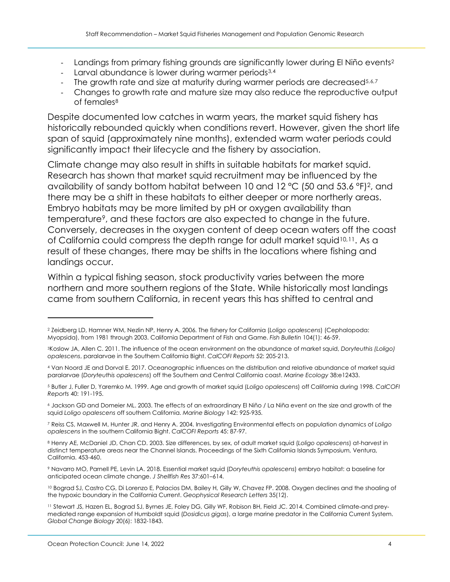- Landings from primary fishing grounds are significantly lower during El Niño events<sup>[2](#page-3-0)</sup>
- Larval abundance is lower during warmer periods<sup>[3,](#page-3-1)[4](#page-3-2)</sup>
- The growth rate and size at maturity during warmer periods are decreased<sup>[5,](#page-3-3)[6,](#page-3-4)[7](#page-3-5)</sup>
- Changes to growth rate and mature size may also reduce the reproductive output of females<sup>[8](#page-3-6)</sup>

Despite documented low catches in warm years, the market squid fishery has historically rebounded quickly when conditions revert. However, given the short life span of squid (approximately nine months), extended warm water periods could significantly impact their lifecycle and the fishery by association.

Climate change may also result in shifts in suitable habitats for market squid. Research has shown that market squid recruitment may be influenced by the availability of sandy bottom habitat between 10 and 12 °C (50 and 53.6 °F)2, and there may be a shift in these habitats to either deeper or more northerly areas. Embryo habitats may be more limited by pH or oxygen availability than temperature<sup>[9](#page-3-7)</sup>, and these factors are also expected to change in the future. Conversely, decreases in the oxygen content of deep ocean waters off the coast of California could compress the depth range for adult market squid<sup>[10](#page-3-8),11</sup>. As a result of these changes, there may be shifts in the locations where fishing and landings occur.

Within a typical fishing season, stock productivity varies between the more northern and more southern regions of the State. While historically most landings came from southern California, in recent years this has shifted to central and

<span id="page-3-0"></span><sup>2</sup> Zeidberg LD, Hamner WM, Nezlin NP, Henry A. 2006. The fishery for California (*Loligo opalescens*) (Cephalopoda: Myopsida), from 1981 through 2003. California Department of Fish and Game. *Fish Bulletin* 104(1): 46-59.

<span id="page-3-1"></span><sup>3</sup>Koslow JA, Allen C. 2011. The influence of the ocean environment on the abundance of market squid, *Doryteuthis (Loligo) opalescens*, paralarvae in the Southern California Bight. *CalCOFI Reports* 52: 205-213.

<span id="page-3-2"></span><sup>4</sup> Van Noord JE and Dorval E. 2017. Oceanographic influences on the distribution and relative abundance of market squid paralarvae (*Doryteuthis opalescens*) off the Southern and Central California coast. *Marine Ecology* 38:e12433.

<span id="page-3-3"></span><sup>5</sup> Butler J, Fuller D, Yaremko M. 1999. Age and growth of market squid (*Loligo opalescens*) off California during 1998. *CalCOFI Reports* 40: 191-195.

<span id="page-3-4"></span><sup>6</sup> Jackson GD and Domeier ML. 2003. The effects of an extraordinary El Niño / La Niña event on the size and growth of the squid *Loligo opalescens* off southern California. *Marine Biology* 142: 925-935.

<span id="page-3-5"></span><sup>7</sup> Reiss CS, Maxwell M, Hunter JR, and Henry A. 2004. Investigating Environmental effects on population dynamics of *Loligo opalescens* in the southern California Bight. *CalCOFI Reports* 45: 87-97.

<span id="page-3-6"></span><sup>8</sup> Henry AE, McDaniel JD, Chan CD. 2003. Size differences, by sex, of adult market squid (*Loligo opalescens*) at-harvest in distinct temperature areas near the Channel Islands. Proceedings of the Sixth California Islands Symposium, Ventura, California. 453-460.

<span id="page-3-7"></span><sup>9</sup> Navarro MO, Parnell PE, Levin LA. 2018. Essential market squid (*Doryteuthis opalescens*) embryo habitat: a baseline for anticipated ocean climate change. *J Shellfish Res* 37:601–614.

<span id="page-3-8"></span><sup>&</sup>lt;sup>10</sup> Bograd SJ, Castro CG, Di Lorenzo E, Palacios DM, Bailey H, Gilly W, Chavez FP. 2008. Oxygen declines and the shoaling of the hypoxic boundary in the California Current. *Geophysical Research Letters* 35(12).

<span id="page-3-9"></span><sup>11</sup> Stewart JS, Hazen EL, Bograd SJ, Byrnes JE, Foley DG, Gilly WF, Robison BH, Field JC. 2014. Combined climate‐and prey‐ mediated range expansion of Humboldt squid (*Dosidicus gigas*), a large marine predator in the California Current System. *Global Change Biology* 20(6): 1832-1843.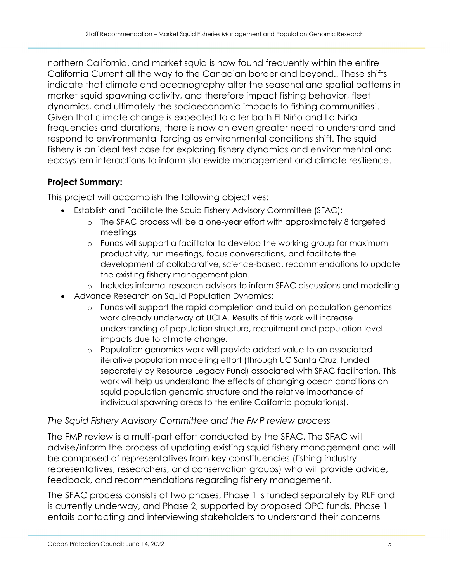northern California, and market squid is now found frequently within the entire California Current all the way to the Canadian border and beyond.. These shifts indicate that climate and oceanography alter the seasonal and spatial patterns in market squid spawning activity, and therefore impact fishing behavior, fleet dynamics, and ultimately the socioeconomic impacts to fishing communities<sup>1</sup>. Given that climate change is expected to alter both El Niño and La Niña frequencies and durations, there is now an even greater need to understand and respond to environmental forcing as environmental conditions shift. The squid fishery is an ideal test case for exploring fishery dynamics and environmental and ecosystem interactions to inform statewide management and climate resilience.

### **Project Summary:**

This project will accomplish the following objectives:

- Establish and Facilitate the Squid Fishery Advisory Committee (SFAC):
	- o The SFAC process will be a one-year effort with approximately 8 targeted meetings
	- o Funds will support a facilitator to develop the working group for maximum productivity, run meetings, focus conversations, and facilitate the development of collaborative, science-based, recommendations to update the existing fishery management plan.
	- o Includes informal research advisors to inform SFAC discussions and modelling
- Advance Research on Squid Population Dynamics:
	- o Funds will support the rapid completion and build on population genomics work already underway at UCLA. Results of this work will increase understanding of population structure, recruitment and population-level impacts due to climate change.
	- o Population genomics work will provide added value to an associated iterative population modelling effort (through UC Santa Cruz, funded separately by Resource Legacy Fund) associated with SFAC facilitation. This work will help us understand the effects of changing ocean conditions on squid population genomic structure and the relative importance of individual spawning areas to the entire California population(s).

### *The Squid Fishery Advisory Committee and the FMP review process*

The FMP review is a multi-part effort conducted by the SFAC. The SFAC will advise/inform the process of updating existing squid fishery management and will be composed of representatives from key constituencies (fishing industry representatives, researchers, and conservation groups) who will provide advice, feedback, and recommendations regarding fishery management.

The SFAC process consists of two phases, Phase 1 is funded separately by RLF and is currently underway, and Phase 2, supported by proposed OPC funds. Phase 1 entails contacting and interviewing stakeholders to understand their concerns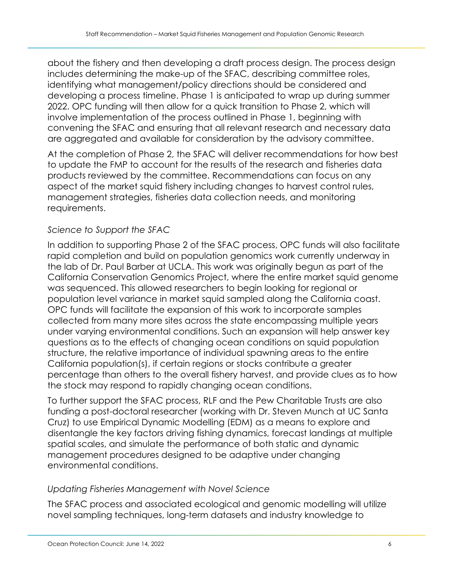about the fishery and then developing a draft process design. The process design includes determining the make-up of the SFAC, describing committee roles, identifying what management/policy directions should be considered and developing a process timeline. Phase 1 is anticipated to wrap up during summer 2022. OPC funding will then allow for a quick transition to Phase 2, which will involve implementation of the process outlined in Phase 1, beginning with convening the SFAC and ensuring that all relevant research and necessary data are aggregated and available for consideration by the advisory committee.

At the completion of Phase 2, the SFAC will deliver recommendations for how best to update the FMP to account for the results of the research and fisheries data products reviewed by the committee. Recommendations can focus on any aspect of the market squid fishery including changes to harvest control rules, management strategies, fisheries data collection needs, and monitoring requirements.

## *Science to Support the SFAC*

In addition to supporting Phase 2 of the SFAC process, OPC funds will also facilitate rapid completion and build on population genomics work currently underway in the lab of Dr. Paul Barber at UCLA. This work was originally begun as part of the California Conservation Genomics Project, where the entire market squid genome was sequenced. This allowed researchers to begin looking for regional or population level variance in market squid sampled along the California coast. OPC funds will facilitate the expansion of this work to incorporate samples collected from many more sites across the state encompassing multiple years under varying environmental conditions. Such an expansion will help answer key questions as to the effects of changing ocean conditions on squid population structure, the relative importance of individual spawning areas to the entire California population(s), if certain regions or stocks contribute a greater percentage than others to the overall fishery harvest, and provide clues as to how the stock may respond to rapidly changing ocean conditions.

To further support the SFAC process, RLF and the Pew Charitable Trusts are also funding a post-doctoral researcher (working with Dr. Steven Munch at UC Santa Cruz) to use Empirical Dynamic Modelling (EDM) as a means to explore and disentangle the key factors driving fishing dynamics, forecast landings at multiple spatial scales, and simulate the performance of both static and dynamic management procedures designed to be adaptive under changing environmental conditions.

### *Updating Fisheries Management with Novel Science*

The SFAC process and associated ecological and genomic modelling will utilize novel sampling techniques, long-term datasets and industry knowledge to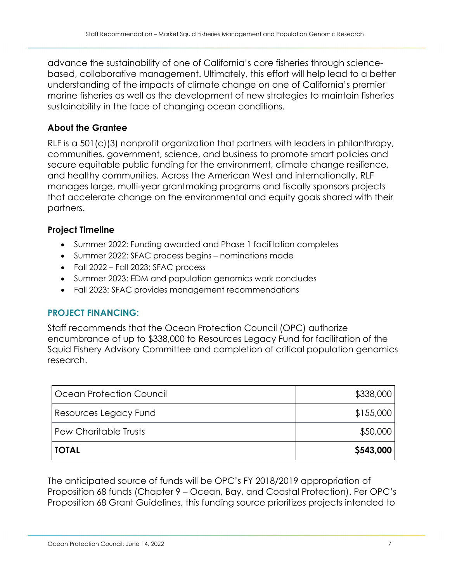advance the sustainability of one of California's core fisheries through sciencebased, collaborative management. Ultimately, this effort will help lead to a better understanding of the impacts of climate change on one of California's premier marine fisheries as well as the development of new strategies to maintain fisheries sustainability in the face of changing ocean conditions.

### **About the Grantee**

RLF is a 501(c)(3) nonprofit organization that partners with leaders in philanthropy, communities, government, science, and business to promote smart policies and secure equitable public funding for the environment, climate change resilience, and healthy communities. Across the American West and internationally, RLF manages large, multi-year grantmaking programs and fiscally sponsors projects that accelerate change on the environmental and equity goals shared with their partners.

### **Project Timeline**

- Summer 2022: Funding awarded and Phase 1 facilitation completes
- Summer 2022: SFAC process begins nominations made
- Fall 2022 Fall 2023: SFAC process
- Summer 2023: EDM and population genomics work concludes
- Fall 2023: SFAC provides management recommendations

### **PROJECT FINANCING:**

Staff recommends that the Ocean Protection Council (OPC) authorize encumbrance of up to \$338,000 to Resources Legacy Fund for facilitation of the Squid Fishery Advisory Committee and completion of critical population genomics research.

| Ocean Protection Council | \$338,000 |
|--------------------------|-----------|
| Resources Legacy Fund    | \$155,000 |
| Pew Charitable Trusts    | \$50,000  |
| <b>TOTAL</b>             | \$543,000 |

The anticipated source of funds will be OPC's FY 2018/2019 appropriation of Proposition 68 funds (Chapter 9 – Ocean, Bay, and Coastal Protection). Per OPC's Proposition 68 Grant Guidelines, this funding source prioritizes projects intended to